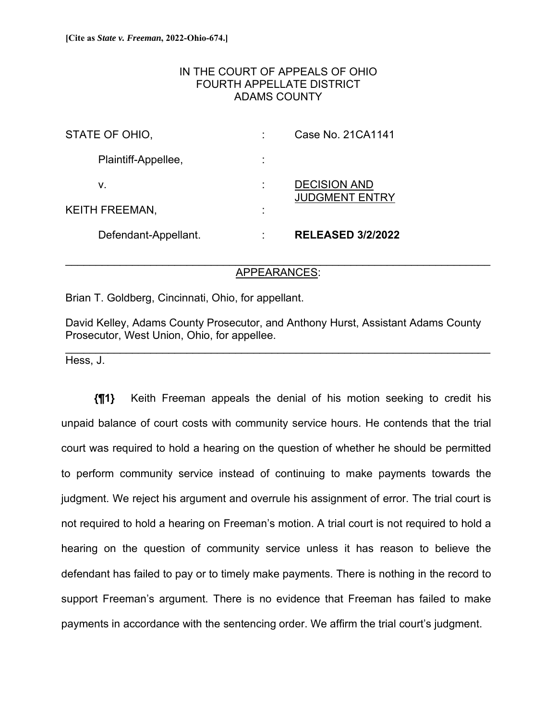# IN THE COURT OF APPEALS OF OHIO FOURTH APPELLATE DISTRICT ADAMS COUNTY

| Defendant-Appellant.  |   | <b>RELEASED 3/2/2022</b>                     |
|-----------------------|---|----------------------------------------------|
| <b>KEITH FREEMAN,</b> | ٠ |                                              |
| v.                    |   | <b>DECISION AND</b><br><b>JUDGMENT ENTRY</b> |
| Plaintiff-Appellee,   |   |                                              |
| STATE OF OHIO,        |   | Case No. 21 CA1141                           |

## \_\_\_\_\_\_\_\_\_\_\_\_\_\_\_\_\_\_\_\_\_\_\_\_\_\_\_\_\_\_\_\_\_\_\_\_\_\_\_\_\_\_\_\_\_\_\_\_\_\_\_\_\_\_\_\_\_\_\_\_\_\_\_\_\_\_\_\_\_\_ APPEARANCES:

Brian T. Goldberg, Cincinnati, Ohio, for appellant.

David Kelley, Adams County Prosecutor, and Anthony Hurst, Assistant Adams County Prosecutor, West Union, Ohio, for appellee.

 $\mathcal{L}_\mathcal{L} = \{ \mathcal{L}_\mathcal{L} = \{ \mathcal{L}_\mathcal{L} = \{ \mathcal{L}_\mathcal{L} = \{ \mathcal{L}_\mathcal{L} = \{ \mathcal{L}_\mathcal{L} = \{ \mathcal{L}_\mathcal{L} = \{ \mathcal{L}_\mathcal{L} = \{ \mathcal{L}_\mathcal{L} = \{ \mathcal{L}_\mathcal{L} = \{ \mathcal{L}_\mathcal{L} = \{ \mathcal{L}_\mathcal{L} = \{ \mathcal{L}_\mathcal{L} = \{ \mathcal{L}_\mathcal{L} = \{ \mathcal{L}_\mathcal{$ 

Hess, J.

**{¶1}** Keith Freeman appeals the denial of his motion seeking to credit his unpaid balance of court costs with community service hours. He contends that the trial court was required to hold a hearing on the question of whether he should be permitted to perform community service instead of continuing to make payments towards the judgment. We reject his argument and overrule his assignment of error. The trial court is not required to hold a hearing on Freeman's motion. A trial court is not required to hold a hearing on the question of community service unless it has reason to believe the defendant has failed to pay or to timely make payments. There is nothing in the record to support Freeman's argument. There is no evidence that Freeman has failed to make payments in accordance with the sentencing order. We affirm the trial court's judgment.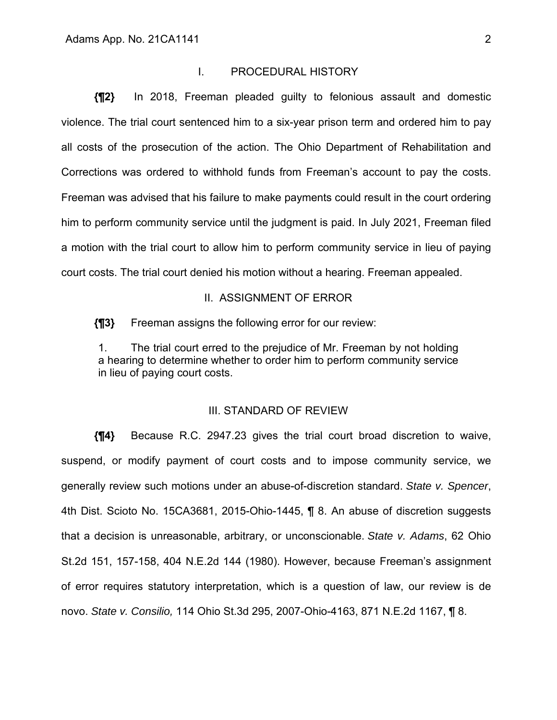#### I. PROCEDURAL HISTORY

**{¶2}** In 2018, Freeman pleaded guilty to felonious assault and domestic violence. The trial court sentenced him to a six-year prison term and ordered him to pay all costs of the prosecution of the action. The Ohio Department of Rehabilitation and Corrections was ordered to withhold funds from Freeman's account to pay the costs. Freeman was advised that his failure to make payments could result in the court ordering him to perform community service until the judgment is paid. In July 2021, Freeman filed a motion with the trial court to allow him to perform community service in lieu of paying court costs. The trial court denied his motion without a hearing. Freeman appealed.

#### II. ASSIGNMENT OF ERROR

**{¶3}** Freeman assigns the following error for our review:

1. The trial court erred to the prejudice of Mr. Freeman by not holding a hearing to determine whether to order him to perform community service in lieu of paying court costs.

## III. STANDARD OF REVIEW

**{¶4}** Because R.C. 2947.23 gives the trial court broad discretion to waive, suspend, or modify payment of court costs and to impose community service, we generally review such motions under an abuse-of-discretion standard. *State v. Spencer*, 4th Dist. Scioto No. 15CA3681, 2015-Ohio-1445, ¶ 8. An abuse of discretion suggests that a decision is unreasonable, arbitrary, or unconscionable. *State v. Adams*, 62 Ohio St.2d 151, 157-158, 404 N.E.2d 144 (1980). However, because Freeman's assignment of error requires statutory interpretation, which is a question of law, our review is de novo. *State v. Consilio,* 114 Ohio St.3d 295, 2007-Ohio-4163, 871 N.E.2d 1167, ¶ 8.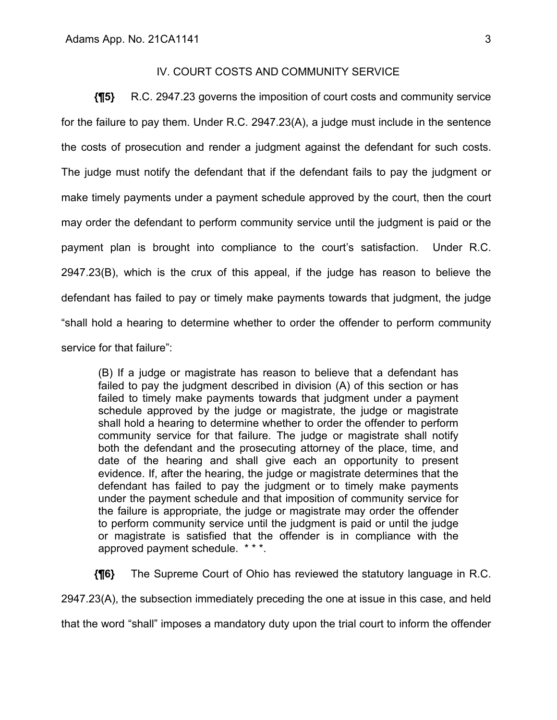# IV. COURT COSTS AND COMMUNITY SERVICE

**{¶5}** R.C. 2947.23 governs the imposition of court costs and community service for the failure to pay them. Under R.C. 2947.23(A), a judge must include in the sentence the costs of prosecution and render a judgment against the defendant for such costs. The judge must notify the defendant that if the defendant fails to pay the judgment or make timely payments under a payment schedule approved by the court, then the court may order the defendant to perform community service until the judgment is paid or the payment plan is brought into compliance to the court's satisfaction. Under R.C. 2947.23(B), which is the crux of this appeal, if the judge has reason to believe the defendant has failed to pay or timely make payments towards that judgment, the judge "shall hold a hearing to determine whether to order the offender to perform community service for that failure":

(B) If a judge or magistrate has reason to believe that a defendant has failed to pay the judgment described in division (A) of this section or has failed to timely make payments towards that judgment under a payment schedule approved by the judge or magistrate, the judge or magistrate shall hold a hearing to determine whether to order the offender to perform community service for that failure. The judge or magistrate shall notify both the defendant and the prosecuting attorney of the place, time, and date of the hearing and shall give each an opportunity to present evidence. If, after the hearing, the judge or magistrate determines that the defendant has failed to pay the judgment or to timely make payments under the payment schedule and that imposition of community service for the failure is appropriate, the judge or magistrate may order the offender to perform community service until the judgment is paid or until the judge or magistrate is satisfied that the offender is in compliance with the approved payment schedule. \* \* \*.

**{¶6}** The Supreme Court of Ohio has reviewed the statutory language in R.C. 2947.23(A), the subsection immediately preceding the one at issue in this case, and held

that the word "shall" imposes a mandatory duty upon the trial court to inform the offender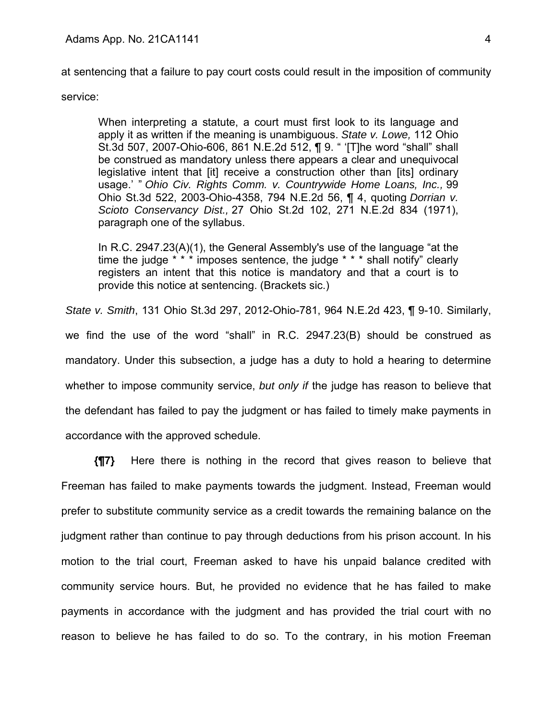at sentencing that a failure to pay court costs could result in the imposition of community

service:

When interpreting a statute, a court must first look to its language and apply it as written if the meaning is unambiguous. *State v. Lowe,* 112 Ohio St.3d 507, 2007-Ohio-606, 861 N.E.2d 512, ¶ 9. " '[T]he word "shall" shall be construed as mandatory unless there appears a clear and unequivocal legislative intent that [it] receive a construction other than [its] ordinary usage.' " *Ohio Civ. Rights Comm. v. Countrywide Home Loans, Inc.,* 99 Ohio St.3d 522, 2003-Ohio-4358, 794 N.E.2d 56, ¶ 4, quoting *Dorrian v. Scioto Conservancy Dist.,* 27 Ohio St.2d 102, 271 N.E.2d 834 (1971), paragraph one of the syllabus.

In R.C. 2947.23(A)(1), the General Assembly's use of the language "at the time the judge \* \* \* imposes sentence, the judge \* \* \* shall notify" clearly registers an intent that this notice is mandatory and that a court is to provide this notice at sentencing. (Brackets sic.)

*State v. Smith*, 131 Ohio St.3d 297, 2012-Ohio-781, 964 N.E.2d 423, ¶ 9-10. Similarly, we find the use of the word "shall" in R.C. 2947.23(B) should be construed as mandatory. Under this subsection, a judge has a duty to hold a hearing to determine whether to impose community service, *but only if* the judge has reason to believe that the defendant has failed to pay the judgment or has failed to timely make payments in accordance with the approved schedule.

**{¶7}** Here there is nothing in the record that gives reason to believe that Freeman has failed to make payments towards the judgment. Instead, Freeman would prefer to substitute community service as a credit towards the remaining balance on the judgment rather than continue to pay through deductions from his prison account. In his motion to the trial court, Freeman asked to have his unpaid balance credited with community service hours. But, he provided no evidence that he has failed to make payments in accordance with the judgment and has provided the trial court with no reason to believe he has failed to do so. To the contrary, in his motion Freeman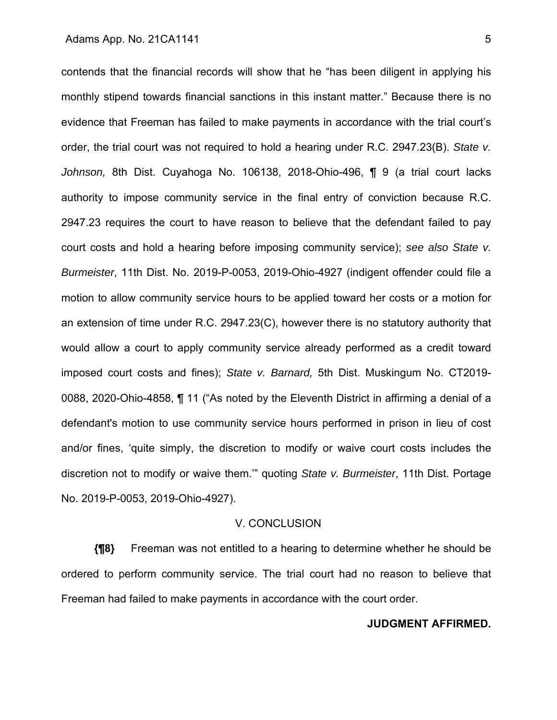contends that the financial records will show that he "has been diligent in applying his monthly stipend towards financial sanctions in this instant matter." Because there is no evidence that Freeman has failed to make payments in accordance with the trial court's order, the trial court was not required to hold a hearing under R.C. 2947.23(B). *State v. Johnson,* 8th Dist. Cuyahoga No. 106138, 2018-Ohio-496, ¶ 9 (a trial court lacks authority to impose community service in the final entry of conviction because R.C. 2947.23 requires the court to have reason to believe that the defendant failed to pay court costs and hold a hearing before imposing community service); *see also State v. Burmeister*, 11th Dist. No. 2019-P-0053, 2019-Ohio-4927 (indigent offender could file a motion to allow community service hours to be applied toward her costs or a motion for an extension of time under R.C. 2947.23(C), however there is no statutory authority that would allow a court to apply community service already performed as a credit toward imposed court costs and fines); *State v. Barnard,* 5th Dist. Muskingum No. CT2019- 0088, 2020-Ohio-4858, ¶ 11 ("As noted by the Eleventh District in affirming a denial of a defendant's motion to use community service hours performed in prison in lieu of cost and/or fines, 'quite simply, the discretion to modify or waive court costs includes the discretion not to modify or waive them.'" quoting *State v. Burmeister*, 11th Dist. Portage No. 2019-P-0053, 2019-Ohio-4927).

### V. CONCLUSION

**{¶8}** Freeman was not entitled to a hearing to determine whether he should be ordered to perform community service. The trial court had no reason to believe that Freeman had failed to make payments in accordance with the court order.

## **JUDGMENT AFFIRMED.**